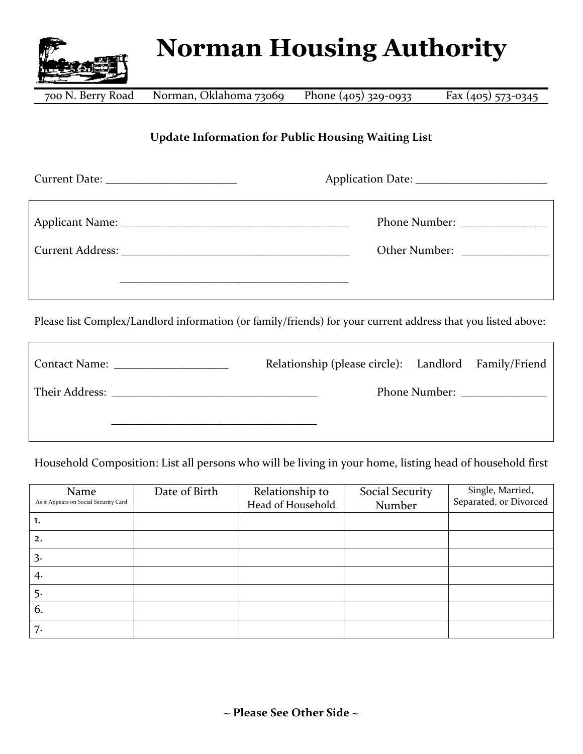

## **Norman Housing Authority**

700 N. Berry Road

Norman, Oklahoma 73069 Phone (405) 329-0933 Fax (405) 573-0345

## **Update Information for Public Housing Waiting List**

| Other Number: _______________                                                                               |
|-------------------------------------------------------------------------------------------------------------|
|                                                                                                             |
| Doge list Complex Landland information (or family (friends) for your qurient address that you listed above. |

Please list Complex/Landlord information (or family/friends) for your current address that you listed above:

| Contact Name: The Contact Name: | Relationship (please circle): Landlord Family/Friend |  |  |
|---------------------------------|------------------------------------------------------|--|--|
|                                 |                                                      |  |  |
|                                 |                                                      |  |  |

Household Composition: List all persons who will be living in your home, listing head of household first

| Name<br>As it Appears on Social Security Card | Date of Birth | Relationship to<br>Head of Household | Social Security<br>Number | Single, Married,<br>Separated, or Divorced |
|-----------------------------------------------|---------------|--------------------------------------|---------------------------|--------------------------------------------|
| ı.                                            |               |                                      |                           |                                            |
| 2.                                            |               |                                      |                           |                                            |
| 3.                                            |               |                                      |                           |                                            |
| 4.                                            |               |                                      |                           |                                            |
| 5.                                            |               |                                      |                           |                                            |
| 6.                                            |               |                                      |                           |                                            |
| 7.                                            |               |                                      |                           |                                            |